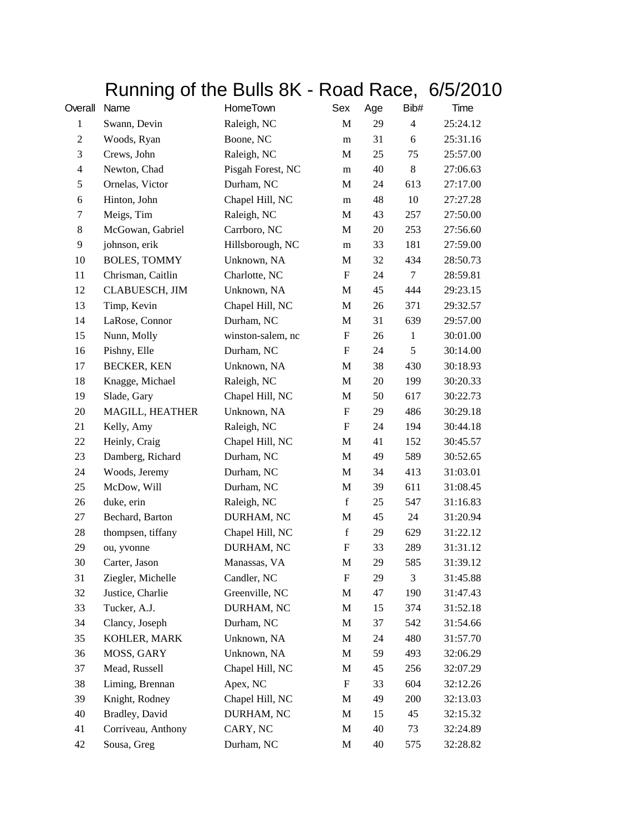## Running of the Bulls 8K - Road Race, 6/5/2010

| Overall        | Name                | HomeTown          | Sex                       | Age | Bib#           | Time     |
|----------------|---------------------|-------------------|---------------------------|-----|----------------|----------|
| $\mathbf{1}$   | Swann, Devin        | Raleigh, NC       | M                         | 29  | $\overline{4}$ | 25:24.12 |
| $\mathfrak{2}$ | Woods, Ryan         | Boone, NC         | m                         | 31  | 6              | 25:31.16 |
| 3              | Crews, John         | Raleigh, NC       | M                         | 25  | 75             | 25:57.00 |
| $\overline{4}$ | Newton, Chad        | Pisgah Forest, NC | m                         | 40  | $8\,$          | 27:06.63 |
| 5              | Ornelas, Victor     | Durham, NC        | M                         | 24  | 613            | 27:17.00 |
| 6              | Hinton, John        | Chapel Hill, NC   | m                         | 48  | 10             | 27:27.28 |
| $\tau$         | Meigs, Tim          | Raleigh, NC       | М                         | 43  | 257            | 27:50.00 |
| $8\phantom{1}$ | McGowan, Gabriel    | Carrboro, NC      | M                         | 20  | 253            | 27:56.60 |
| 9              | johnson, erik       | Hillsborough, NC  | m                         | 33  | 181            | 27:59.00 |
| 10             | <b>BOLES, TOMMY</b> | Unknown, NA       | M                         | 32  | 434            | 28:50.73 |
| 11             | Chrisman, Caitlin   | Charlotte, NC     | $\boldsymbol{\mathrm{F}}$ | 24  | $\tau$         | 28:59.81 |
| 12             | CLABUESCH, JIM      | Unknown, NA       | M                         | 45  | 444            | 29:23.15 |
| 13             | Timp, Kevin         | Chapel Hill, NC   | M                         | 26  | 371            | 29:32.57 |
| 14             | LaRose, Connor      | Durham, NC        | M                         | 31  | 639            | 29:57.00 |
| 15             | Nunn, Molly         | winston-salem, nc | F                         | 26  | $\mathbf{1}$   | 30:01.00 |
| 16             | Pishny, Elle        | Durham, NC        | $\boldsymbol{\mathrm{F}}$ | 24  | 5              | 30:14.00 |
| 17             | <b>BECKER, KEN</b>  | Unknown, NA       | M                         | 38  | 430            | 30:18.93 |
| 18             | Knagge, Michael     | Raleigh, NC       | M                         | 20  | 199            | 30:20.33 |
| 19             | Slade, Gary         | Chapel Hill, NC   | M                         | 50  | 617            | 30:22.73 |
| 20             | MAGILL, HEATHER     | Unknown, NA       | F                         | 29  | 486            | 30:29.18 |
| 21             | Kelly, Amy          | Raleigh, NC       | $\boldsymbol{\mathrm{F}}$ | 24  | 194            | 30:44.18 |
| 22             | Heinly, Craig       | Chapel Hill, NC   | M                         | 41  | 152            | 30:45.57 |
| 23             | Damberg, Richard    | Durham, NC        | М                         | 49  | 589            | 30:52.65 |
| 24             | Woods, Jeremy       | Durham, NC        | M                         | 34  | 413            | 31:03.01 |
| 25             | McDow, Will         | Durham, NC        | M                         | 39  | 611            | 31:08.45 |
| 26             | duke, erin          | Raleigh, NC       | $\mathbf f$               | 25  | 547            | 31:16.83 |
| 27             | Bechard, Barton     | DURHAM, NC        | M                         | 45  | 24             | 31:20.94 |
| 28             | thompsen, tiffany   | Chapel Hill, NC   | $\mathbf f$               | 29  | 629            | 31:22.12 |
| 29             | ou, yvonne          | DURHAM, NC        | F                         | 33  | 289            | 31:31.12 |
| 30             | Carter, Jason       | Manassas, VA      | M                         | 29  | 585            | 31:39.12 |
| 31             | Ziegler, Michelle   | Candler, NC       | F                         | 29  | 3              | 31:45.88 |
| 32             | Justice, Charlie    | Greenville, NC    | M                         | 47  | 190            | 31:47.43 |
| 33             | Tucker, A.J.        | DURHAM, NC        | M                         | 15  | 374            | 31:52.18 |
| 34             | Clancy, Joseph      | Durham, NC        | M                         | 37  | 542            | 31:54.66 |
| 35             | KOHLER, MARK        | Unknown, NA       | M                         | 24  | 480            | 31:57.70 |
| 36             | MOSS, GARY          | Unknown, NA       | M                         | 59  | 493            | 32:06.29 |
| 37             | Mead, Russell       | Chapel Hill, NC   | M                         | 45  | 256            | 32:07.29 |
| 38             | Liming, Brennan     | Apex, NC          | F                         | 33  | 604            | 32:12.26 |
| 39             | Knight, Rodney      | Chapel Hill, NC   | M                         | 49  | 200            | 32:13.03 |
| 40             | Bradley, David      | DURHAM, NC        | M                         | 15  | 45             | 32:15.32 |
| 41             | Corriveau, Anthony  | CARY, NC          | M                         | 40  | 73             | 32:24.89 |
| 42             | Sousa, Greg         | Durham, NC        | M                         | 40  | 575            | 32:28.82 |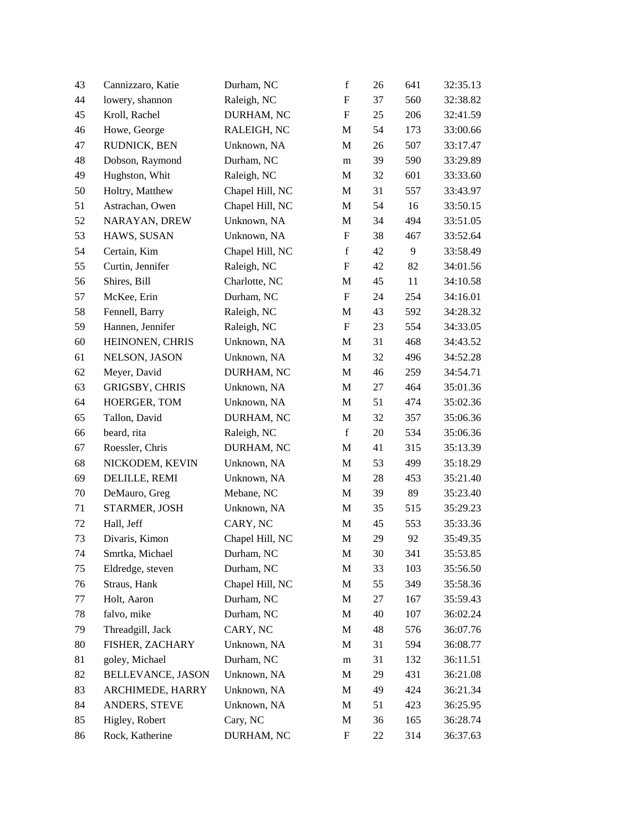| 43     | Cannizzaro, Katie     | Durham, NC      | $\mathbf f$               | 26 | 641 | 32:35.13 |
|--------|-----------------------|-----------------|---------------------------|----|-----|----------|
| 44     | lowery, shannon       | Raleigh, NC     | ${\bf F}$                 | 37 | 560 | 32:38.82 |
| 45     | Kroll, Rachel         | DURHAM, NC      | ${\bf F}$                 | 25 | 206 | 32:41.59 |
| 46     | Howe, George          | RALEIGH, NC     | M                         | 54 | 173 | 33:00.66 |
| 47     | RUDNICK, BEN          | Unknown, NA     | M                         | 26 | 507 | 33:17.47 |
| 48     | Dobson, Raymond       | Durham, NC      | m                         | 39 | 590 | 33:29.89 |
| 49     | Hughston, Whit        | Raleigh, NC     | M                         | 32 | 601 | 33:33.60 |
| 50     | Holtry, Matthew       | Chapel Hill, NC | M                         | 31 | 557 | 33:43.97 |
| 51     | Astrachan, Owen       | Chapel Hill, NC | M                         | 54 | 16  | 33:50.15 |
| 52     | NARAYAN, DREW         | Unknown, NA     | M                         | 34 | 494 | 33:51.05 |
| 53     | HAWS, SUSAN           | Unknown, NA     | $\boldsymbol{\mathrm{F}}$ | 38 | 467 | 33:52.64 |
| 54     | Certain, Kim          | Chapel Hill, NC | $\mathbf f$               | 42 | 9   | 33:58.49 |
| 55     | Curtin, Jennifer      | Raleigh, NC     | ${\bf F}$                 | 42 | 82  | 34:01.56 |
| 56     | Shires, Bill          | Charlotte, NC   | M                         | 45 | 11  | 34:10.58 |
| 57     | McKee, Erin           | Durham, NC      | $\boldsymbol{\mathrm{F}}$ | 24 | 254 | 34:16.01 |
| 58     | Fennell, Barry        | Raleigh, NC     | M                         | 43 | 592 | 34:28.32 |
| 59     | Hannen, Jennifer      | Raleigh, NC     | $\boldsymbol{\mathrm{F}}$ | 23 | 554 | 34:33.05 |
| $60\,$ | HEINONEN, CHRIS       | Unknown, NA     | M                         | 31 | 468 | 34:43.52 |
| 61     | NELSON, JASON         | Unknown, NA     | M                         | 32 | 496 | 34:52.28 |
| 62     | Meyer, David          | DURHAM, NC      | $\mathbf M$               | 46 | 259 | 34:54.71 |
| 63     | <b>GRIGSBY, CHRIS</b> | Unknown, NA     | M                         | 27 | 464 | 35:01.36 |
| 64     | HOERGER, TOM          | Unknown, NA     | M                         | 51 | 474 | 35:02.36 |
| 65     | Tallon, David         | DURHAM, NC      | M                         | 32 | 357 | 35:06.36 |
| 66     | beard, rita           | Raleigh, NC     | $\mathbf f$               | 20 | 534 | 35:06.36 |
| 67     | Roessler, Chris       | DURHAM, NC      | M                         | 41 | 315 | 35:13.39 |
| 68     | NICKODEM, KEVIN       | Unknown, NA     | M                         | 53 | 499 | 35:18.29 |
| 69     | DELILLE, REMI         | Unknown, NA     | M                         | 28 | 453 | 35:21.40 |
| 70     | DeMauro, Greg         | Mebane, NC      | M                         | 39 | 89  | 35:23.40 |
| 71     | STARMER, JOSH         | Unknown, NA     | M                         | 35 | 515 | 35:29.23 |
| 72     | Hall, Jeff            | CARY, NC        | M                         | 45 | 553 | 35:33.36 |
| 73     | Divaris, Kimon        | Chapel Hill, NC | M                         | 29 | 92  | 35:49.35 |
| 74     | Smrtka, Michael       | Durham, NC      | M                         | 30 | 341 | 35:53.85 |
| 75     | Eldredge, steven      | Durham, NC      | M                         | 33 | 103 | 35:56.50 |
| 76     | Straus, Hank          | Chapel Hill, NC | M                         | 55 | 349 | 35:58.36 |
| 77     | Holt, Aaron           | Durham, NC      | M                         | 27 | 167 | 35:59.43 |
| 78     | falvo, mike           | Durham, NC      | M                         | 40 | 107 | 36:02.24 |
| 79     | Threadgill, Jack      | CARY, NC        | M                         | 48 | 576 | 36:07.76 |
| 80     | FISHER, ZACHARY       | Unknown, NA     | M                         | 31 | 594 | 36:08.77 |
| 81     | goley, Michael        | Durham, NC      | m                         | 31 | 132 | 36:11.51 |
| 82     | BELLEVANCE, JASON     | Unknown, NA     | M                         | 29 | 431 | 36:21.08 |
| 83     | ARCHIMEDE, HARRY      | Unknown, NA     | M                         | 49 | 424 | 36:21.34 |
| 84     | ANDERS, STEVE         | Unknown, NA     | M                         | 51 | 423 | 36:25.95 |
| 85     | Higley, Robert        | Cary, NC        | M                         | 36 | 165 | 36:28.74 |
| 86     | Rock, Katherine       | DURHAM, NC      | $\boldsymbol{\mathrm{F}}$ | 22 | 314 | 36:37.63 |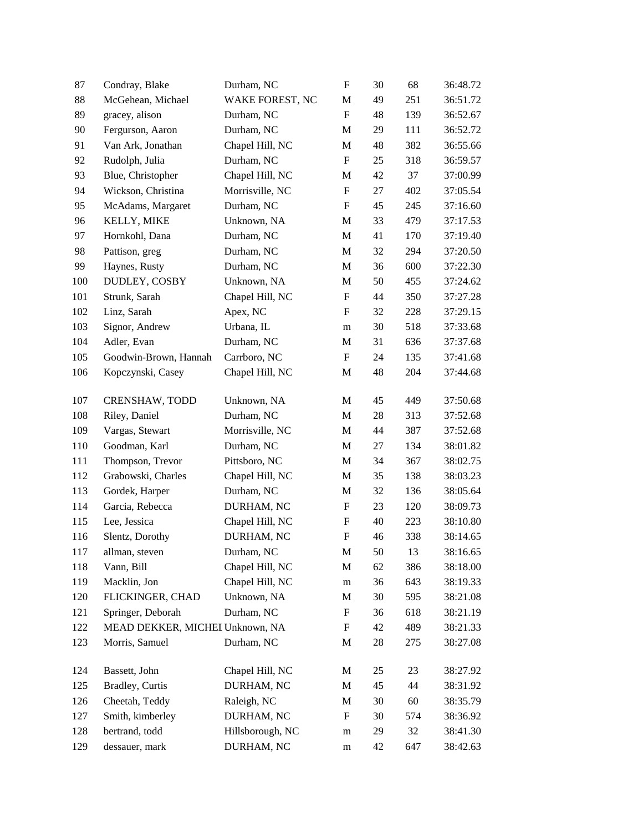| 87  | Condray, Blake                  | Durham, NC       | $\boldsymbol{\mathrm{F}}$ | 30 | 68  | 36:48.72 |
|-----|---------------------------------|------------------|---------------------------|----|-----|----------|
| 88  | McGehean, Michael               | WAKE FOREST, NC  | M                         | 49 | 251 | 36:51.72 |
| 89  | gracey, alison                  | Durham, NC       | $\boldsymbol{\mathrm{F}}$ | 48 | 139 | 36:52.67 |
| 90  | Fergurson, Aaron                | Durham, NC       | M                         | 29 | 111 | 36:52.72 |
| 91  | Van Ark, Jonathan               | Chapel Hill, NC  | $\mathbf M$               | 48 | 382 | 36:55.66 |
| 92  | Rudolph, Julia                  | Durham, NC       | $\boldsymbol{\mathrm{F}}$ | 25 | 318 | 36:59.57 |
| 93  | Blue, Christopher               | Chapel Hill, NC  | M                         | 42 | 37  | 37:00.99 |
| 94  | Wickson, Christina              | Morrisville, NC  | $\boldsymbol{\mathrm{F}}$ | 27 | 402 | 37:05.54 |
| 95  | McAdams, Margaret               | Durham, NC       | F                         | 45 | 245 | 37:16.60 |
| 96  | KELLY, MIKE                     | Unknown, NA      | M                         | 33 | 479 | 37:17.53 |
| 97  | Hornkohl, Dana                  | Durham, NC       | M                         | 41 | 170 | 37:19.40 |
| 98  | Pattison, greg                  | Durham, NC       | M                         | 32 | 294 | 37:20.50 |
| 99  | Haynes, Rusty                   | Durham, NC       | M                         | 36 | 600 | 37:22.30 |
| 100 | DUDLEY, COSBY                   | Unknown, NA      | M                         | 50 | 455 | 37:24.62 |
| 101 | Strunk, Sarah                   | Chapel Hill, NC  | $\boldsymbol{\mathrm{F}}$ | 44 | 350 | 37:27.28 |
| 102 | Linz, Sarah                     | Apex, NC         | $\mathbf F$               | 32 | 228 | 37:29.15 |
| 103 | Signor, Andrew                  | Urbana, IL       | m                         | 30 | 518 | 37:33.68 |
| 104 | Adler, Evan                     | Durham, NC       | M                         | 31 | 636 | 37:37.68 |
| 105 | Goodwin-Brown, Hannah           | Carrboro, NC     | $\mathbf F$               | 24 | 135 | 37:41.68 |
| 106 | Kopczynski, Casey               | Chapel Hill, NC  | M                         | 48 | 204 | 37:44.68 |
| 107 | CRENSHAW, TODD                  | Unknown, NA      | M                         | 45 | 449 | 37:50.68 |
| 108 | Riley, Daniel                   | Durham, NC       | M                         | 28 | 313 | 37:52.68 |
| 109 | Vargas, Stewart                 | Morrisville, NC  | M                         | 44 | 387 | 37:52.68 |
| 110 | Goodman, Karl                   | Durham, NC       | M                         | 27 | 134 | 38:01.82 |
| 111 | Thompson, Trevor                | Pittsboro, NC    | $\mathbf M$               | 34 | 367 | 38:02.75 |
| 112 | Grabowski, Charles              | Chapel Hill, NC  | M                         | 35 | 138 | 38:03.23 |
| 113 | Gordek, Harper                  | Durham, NC       | M                         | 32 | 136 | 38:05.64 |
| 114 | Garcia, Rebecca                 | DURHAM, NC       | $\boldsymbol{\mathrm{F}}$ | 23 | 120 | 38:09.73 |
| 115 | Lee, Jessica                    | Chapel Hill, NC  | $\boldsymbol{F}$          | 40 | 223 | 38:10.80 |
| 116 | Slentz, Dorothy                 | DURHAM, NC       | $\boldsymbol{\mathrm{F}}$ | 46 | 338 | 38:14.65 |
| 117 | allman, steven                  | Durham, NC       | $\mathbf M$               | 50 | 13  | 38:16.65 |
| 118 | Vann, Bill                      | Chapel Hill, NC  | M                         | 62 | 386 | 38:18.00 |
| 119 | Macklin, Jon                    | Chapel Hill, NC  | ${\rm m}$                 | 36 | 643 | 38:19.33 |
| 120 | FLICKINGER, CHAD                | Unknown, NA      | M                         | 30 | 595 | 38:21.08 |
| 121 | Springer, Deborah               | Durham, NC       | $\boldsymbol{F}$          | 36 | 618 | 38:21.19 |
| 122 | MEAD DEKKER, MICHEI Unknown, NA |                  | $\boldsymbol{F}$          | 42 | 489 | 38:21.33 |
| 123 | Morris, Samuel                  | Durham, NC       | M                         | 28 | 275 | 38:27.08 |
| 124 | Bassett, John                   | Chapel Hill, NC  | M                         | 25 | 23  | 38:27.92 |
| 125 | Bradley, Curtis                 | DURHAM, NC       | M                         | 45 | 44  | 38:31.92 |
| 126 | Cheetah, Teddy                  | Raleigh, NC      | M                         | 30 | 60  | 38:35.79 |
| 127 | Smith, kimberley                | DURHAM, NC       | F                         | 30 | 574 | 38:36.92 |
| 128 | bertrand, todd                  | Hillsborough, NC | m                         | 29 | 32  | 38:41.30 |
| 129 | dessauer, mark                  | DURHAM, NC       | m                         | 42 | 647 | 38:42.63 |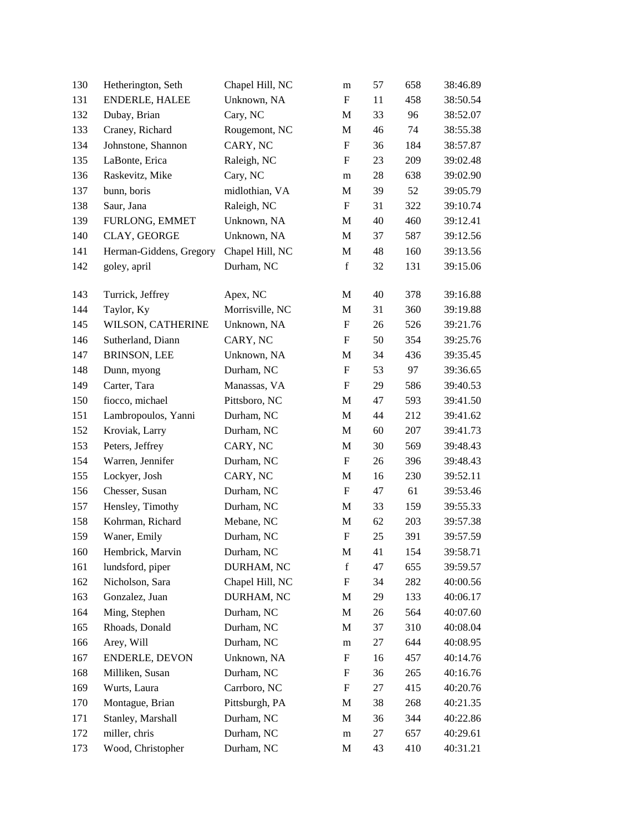| 130 | Hetherington, Seth      | Chapel Hill, NC | m                         | 57 | 658 | 38:46.89 |
|-----|-------------------------|-----------------|---------------------------|----|-----|----------|
| 131 | ENDERLE, HALEE          | Unknown, NA     | F                         | 11 | 458 | 38:50.54 |
| 132 | Dubay, Brian            | Cary, NC        | M                         | 33 | 96  | 38:52.07 |
| 133 | Craney, Richard         | Rougemont, NC   | M                         | 46 | 74  | 38:55.38 |
| 134 | Johnstone, Shannon      | CARY, NC        | $\boldsymbol{F}$          | 36 | 184 | 38:57.87 |
| 135 | LaBonte, Erica          | Raleigh, NC     | F                         | 23 | 209 | 39:02.48 |
| 136 | Raskevitz, Mike         | Cary, NC        | ${\rm m}$                 | 28 | 638 | 39:02.90 |
| 137 | bunn, boris             | midlothian, VA  | M                         | 39 | 52  | 39:05.79 |
| 138 | Saur, Jana              | Raleigh, NC     | $\mathbf F$               | 31 | 322 | 39:10.74 |
| 139 | FURLONG, EMMET          | Unknown, NA     | M                         | 40 | 460 | 39:12.41 |
| 140 | CLAY, GEORGE            | Unknown, NA     | M                         | 37 | 587 | 39:12.56 |
| 141 | Herman-Giddens, Gregory | Chapel Hill, NC | M                         | 48 | 160 | 39:13.56 |
| 142 | goley, april            | Durham, NC      | $\mathbf f$               | 32 | 131 | 39:15.06 |
| 143 | Turrick, Jeffrey        | Apex, NC        | M                         | 40 | 378 | 39:16.88 |
| 144 | Taylor, Ky              | Morrisville, NC | M                         | 31 | 360 | 39:19.88 |
| 145 | WILSON, CATHERINE       | Unknown, NA     | $\mathbf F$               | 26 | 526 | 39:21.76 |
| 146 | Sutherland, Diann       | CARY, NC        | F                         | 50 | 354 | 39:25.76 |
| 147 | <b>BRINSON, LEE</b>     | Unknown, NA     | M                         | 34 | 436 | 39:35.45 |
| 148 | Dunn, myong             | Durham, NC      | $\mathbf F$               | 53 | 97  | 39:36.65 |
| 149 | Carter, Tara            | Manassas, VA    | $\mathbf F$               | 29 | 586 | 39:40.53 |
| 150 | fiocco, michael         | Pittsboro, NC   | M                         | 47 | 593 | 39:41.50 |
| 151 | Lambropoulos, Yanni     | Durham, NC      | M                         | 44 | 212 | 39:41.62 |
| 152 | Kroviak, Larry          | Durham, NC      | M                         | 60 | 207 | 39:41.73 |
| 153 | Peters, Jeffrey         | CARY, NC        | M                         | 30 | 569 | 39:48.43 |
| 154 | Warren, Jennifer        | Durham, NC      | $\mathbf F$               | 26 | 396 | 39:48.43 |
| 155 | Lockyer, Josh           | CARY, NC        | M                         | 16 | 230 | 39:52.11 |
| 156 | Chesser, Susan          | Durham, NC      | F                         | 47 | 61  | 39:53.46 |
| 157 | Hensley, Timothy        | Durham, NC      | M                         | 33 | 159 | 39:55.33 |
| 158 | Kohrman, Richard        | Mebane, NC      | M                         | 62 | 203 | 39:57.38 |
| 159 | Waner, Emily            | Durham, NC      | $\boldsymbol{\mathrm{F}}$ | 25 | 391 | 39:57.59 |
| 160 | Hembrick, Marvin        | Durham, NC      | M                         | 41 | 154 | 39:58.71 |
| 161 | lundsford, piper        | DURHAM, NC      | $\mathbf f$               | 47 | 655 | 39:59.57 |
| 162 | Nicholson, Sara         | Chapel Hill, NC | $\boldsymbol{\mathrm{F}}$ | 34 | 282 | 40:00.56 |
| 163 | Gonzalez, Juan          | DURHAM, NC      | M                         | 29 | 133 | 40:06.17 |
| 164 | Ming, Stephen           | Durham, NC      | M                         | 26 | 564 | 40:07.60 |
| 165 | Rhoads, Donald          | Durham, NC      | M                         | 37 | 310 | 40:08.04 |
| 166 | Arey, Will              | Durham, NC      | ${\rm m}$                 | 27 | 644 | 40:08.95 |
| 167 | ENDERLE, DEVON          | Unknown, NA     | $\boldsymbol{F}$          | 16 | 457 | 40:14.76 |
| 168 | Milliken, Susan         | Durham, NC      | $\boldsymbol{\mathrm{F}}$ | 36 | 265 | 40:16.76 |
| 169 | Wurts, Laura            | Carrboro, NC    | $\boldsymbol{F}$          | 27 | 415 | 40:20.76 |
| 170 | Montague, Brian         | Pittsburgh, PA  | M                         | 38 | 268 | 40:21.35 |
| 171 | Stanley, Marshall       | Durham, NC      | M                         | 36 | 344 | 40:22.86 |
| 172 | miller, chris           | Durham, NC      | m                         | 27 | 657 | 40:29.61 |
| 173 | Wood, Christopher       | Durham, NC      | M                         | 43 | 410 | 40:31.21 |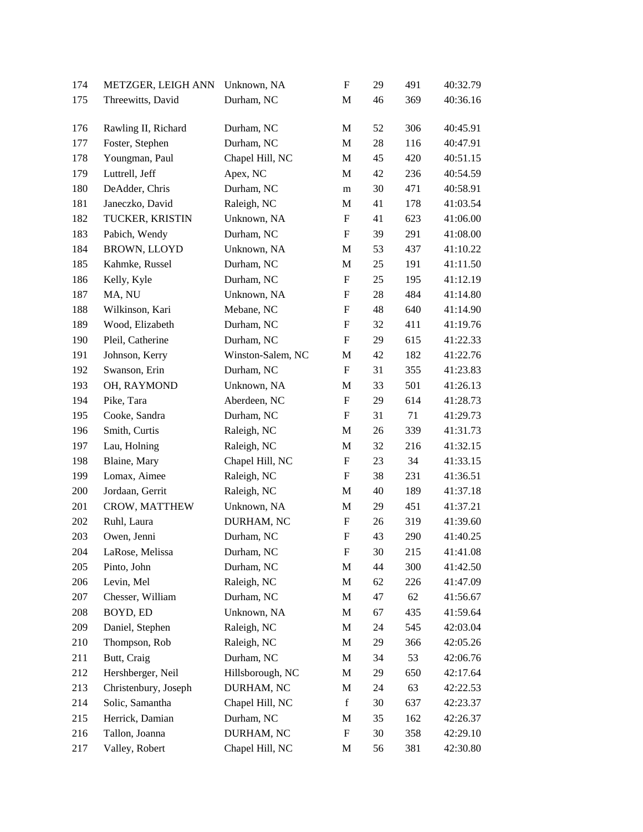| 174 | METZGER, LEIGH ANN   | Unknown, NA       | $\boldsymbol{\mathrm{F}}$ | 29 | 491 | 40:32.79 |
|-----|----------------------|-------------------|---------------------------|----|-----|----------|
| 175 | Threewitts, David    | Durham, NC        | M                         | 46 | 369 | 40:36.16 |
| 176 | Rawling II, Richard  | Durham, NC        | M                         | 52 | 306 | 40:45.91 |
| 177 | Foster, Stephen      | Durham, NC        | M                         | 28 | 116 | 40:47.91 |
| 178 | Youngman, Paul       | Chapel Hill, NC   | M                         | 45 | 420 | 40:51.15 |
| 179 | Luttrell, Jeff       | Apex, NC          | M                         | 42 | 236 | 40:54.59 |
| 180 | DeAdder, Chris       | Durham, NC        | m                         | 30 | 471 | 40:58.91 |
| 181 | Janeczko, David      | Raleigh, NC       | M                         | 41 | 178 | 41:03.54 |
| 182 | TUCKER, KRISTIN      | Unknown, NA       | F                         | 41 | 623 | 41:06.00 |
| 183 | Pabich, Wendy        | Durham, NC        | $\mathbf F$               | 39 | 291 | 41:08.00 |
| 184 | <b>BROWN, LLOYD</b>  | Unknown, NA       | M                         | 53 | 437 | 41:10.22 |
| 185 | Kahmke, Russel       | Durham, NC        | M                         | 25 | 191 | 41:11.50 |
| 186 | Kelly, Kyle          | Durham, NC        | $\boldsymbol{F}$          | 25 | 195 | 41:12.19 |
| 187 | MA, NU               | Unknown, NA       | F                         | 28 | 484 | 41:14.80 |
| 188 | Wilkinson, Kari      | Mebane, NC        | $\boldsymbol{\mathrm{F}}$ | 48 | 640 | 41:14.90 |
| 189 | Wood, Elizabeth      | Durham, NC        | $\boldsymbol{\mathrm{F}}$ | 32 | 411 | 41:19.76 |
| 190 | Pleil, Catherine     | Durham, NC        | F                         | 29 | 615 | 41:22.33 |
| 191 | Johnson, Kerry       | Winston-Salem, NC | M                         | 42 | 182 | 41:22.76 |
| 192 | Swanson, Erin        | Durham, NC        | $\boldsymbol{\mathrm{F}}$ | 31 | 355 | 41:23.83 |
| 193 | OH, RAYMOND          | Unknown, NA       | M                         | 33 | 501 | 41:26.13 |
| 194 | Pike, Tara           | Aberdeen, NC      | $\boldsymbol{\mathrm{F}}$ | 29 | 614 | 41:28.73 |
| 195 | Cooke, Sandra        | Durham, NC        | F                         | 31 | 71  | 41:29.73 |
| 196 | Smith, Curtis        | Raleigh, NC       | M                         | 26 | 339 | 41:31.73 |
| 197 | Lau, Holning         | Raleigh, NC       | M                         | 32 | 216 | 41:32.15 |
| 198 | Blaine, Mary         | Chapel Hill, NC   | $\boldsymbol{F}$          | 23 | 34  | 41:33.15 |
| 199 | Lomax, Aimee         | Raleigh, NC       | $\boldsymbol{\mathrm{F}}$ | 38 | 231 | 41:36.51 |
| 200 | Jordaan, Gerrit      | Raleigh, NC       | M                         | 40 | 189 | 41:37.18 |
| 201 | CROW, MATTHEW        | Unknown, NA       | M                         | 29 | 451 | 41:37.21 |
| 202 | Ruhl, Laura          | DURHAM, NC        | $\mathbf F$               | 26 | 319 | 41:39.60 |
| 203 | Owen, Jenni          | Durham, NC        | $\boldsymbol{\mathrm{F}}$ | 43 | 290 | 41:40.25 |
| 204 | LaRose, Melissa      | Durham, NC        | $\boldsymbol{\mathrm{F}}$ | 30 | 215 | 41:41.08 |
| 205 | Pinto, John          | Durham, NC        | M                         | 44 | 300 | 41:42.50 |
| 206 | Levin, Mel           | Raleigh, NC       | M                         | 62 | 226 | 41:47.09 |
| 207 | Chesser, William     | Durham, NC        | M                         | 47 | 62  | 41:56.67 |
| 208 | BOYD, ED             | Unknown, NA       | M                         | 67 | 435 | 41:59.64 |
| 209 | Daniel, Stephen      | Raleigh, NC       | M                         | 24 | 545 | 42:03.04 |
| 210 | Thompson, Rob        | Raleigh, NC       | M                         | 29 | 366 | 42:05.26 |
| 211 | Butt, Craig          | Durham, NC        | M                         | 34 | 53  | 42:06.76 |
| 212 | Hershberger, Neil    | Hillsborough, NC  | M                         | 29 | 650 | 42:17.64 |
| 213 | Christenbury, Joseph | DURHAM, NC        | M                         | 24 | 63  | 42:22.53 |
| 214 | Solic, Samantha      | Chapel Hill, NC   | $\mathbf f$               | 30 | 637 | 42:23.37 |
| 215 | Herrick, Damian      | Durham, NC        | M                         | 35 | 162 | 42:26.37 |
| 216 | Tallon, Joanna       | DURHAM, NC        | $\mathbf F$               | 30 | 358 | 42:29.10 |
| 217 | Valley, Robert       | Chapel Hill, NC   | M                         | 56 | 381 | 42:30.80 |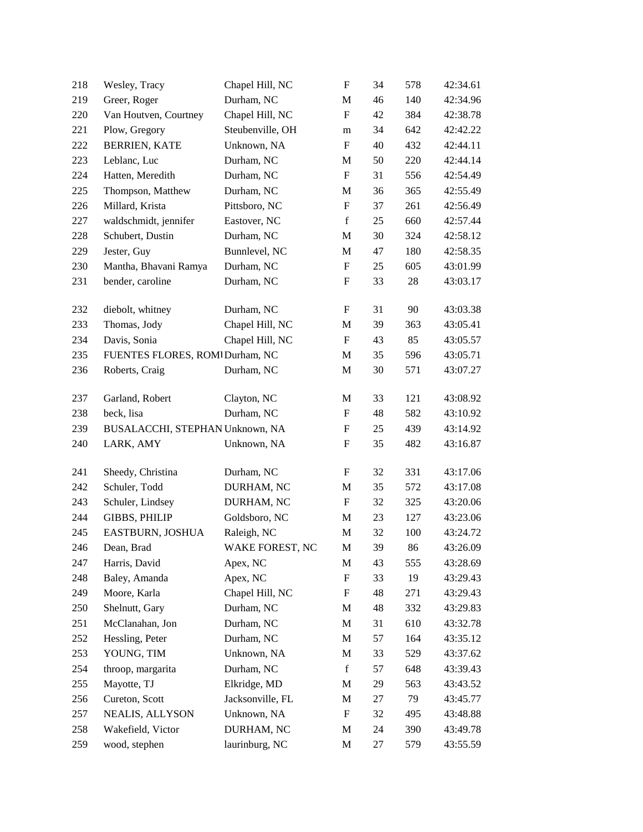| 218 | Wesley, Tracy                   | Chapel Hill, NC        | $\boldsymbol{\mathrm{F}}$ | 34 | 578 | 42:34.61 |
|-----|---------------------------------|------------------------|---------------------------|----|-----|----------|
| 219 | Greer, Roger                    | Durham, NC             | M                         | 46 | 140 | 42:34.96 |
| 220 | Van Houtven, Courtney           | Chapel Hill, NC        | $\boldsymbol{\mathrm{F}}$ | 42 | 384 | 42:38.78 |
| 221 | Plow, Gregory                   | Steubenville, OH       | m                         | 34 | 642 | 42:42.22 |
| 222 | <b>BERRIEN, KATE</b>            | Unknown, NA            | F                         | 40 | 432 | 42:44.11 |
| 223 | Leblanc, Luc                    | Durham, NC             | M                         | 50 | 220 | 42:44.14 |
| 224 | Hatten, Meredith                | Durham, NC             | F                         | 31 | 556 | 42:54.49 |
| 225 | Thompson, Matthew               | Durham, NC             | M                         | 36 | 365 | 42:55.49 |
| 226 | Millard, Krista                 | Pittsboro, NC          | $\boldsymbol{F}$          | 37 | 261 | 42:56.49 |
| 227 | waldschmidt, jennifer           | Eastover, NC           | $\mathbf f$               | 25 | 660 | 42:57.44 |
| 228 | Schubert, Dustin                | Durham, NC             | M                         | 30 | 324 | 42:58.12 |
| 229 | Jester, Guy                     | Bunnlevel, NC          | M                         | 47 | 180 | 42:58.35 |
| 230 | Mantha, Bhavani Ramya           | Durham, NC             | F                         | 25 | 605 | 43:01.99 |
| 231 | bender, caroline                | Durham, NC             | $\mathbf F$               | 33 | 28  | 43:03.17 |
| 232 | diebolt, whitney                | Durham, NC             | F                         | 31 | 90  | 43:03.38 |
| 233 | Thomas, Jody                    | Chapel Hill, NC        | M                         | 39 | 363 | 43:05.41 |
| 234 | Davis, Sonia                    | Chapel Hill, NC        | $\boldsymbol{\mathrm{F}}$ | 43 | 85  | 43:05.57 |
| 235 | FUENTES FLORES, ROMI Durham, NC |                        | M                         | 35 | 596 | 43:05.71 |
| 236 | Roberts, Craig                  | Durham, NC             | M                         | 30 | 571 | 43:07.27 |
| 237 | Garland, Robert                 | Clayton, NC            | M                         | 33 | 121 | 43:08.92 |
| 238 | beck, lisa                      | Durham, NC             | F                         | 48 | 582 | 43:10.92 |
| 239 | BUSALACCHI, STEPHAN Unknown, NA |                        | F                         | 25 | 439 | 43:14.92 |
| 240 | LARK, AMY                       | Unknown, NA            | $\boldsymbol{\mathrm{F}}$ | 35 | 482 | 43:16.87 |
| 241 | Sheedy, Christina               | Durham, NC             | F                         | 32 | 331 | 43:17.06 |
| 242 | Schuler, Todd                   | DURHAM, NC             | M                         | 35 | 572 | 43:17.08 |
| 243 | Schuler, Lindsey                | DURHAM, NC             | F                         | 32 | 325 | 43:20.06 |
| 244 | GIBBS, PHILIP                   | Goldsboro, NC          | M                         | 23 | 127 | 43:23.06 |
| 245 | EASTBURN, JOSHUA                | Raleigh, NC            | M                         | 32 | 100 | 43:24.72 |
| 246 | Dean, Brad                      | <b>WAKE FOREST, NC</b> | М                         | 39 | 86  | 43:26.09 |
| 247 | Harris, David                   | Apex, NC               | M                         | 43 | 555 | 43:28.69 |
| 248 | Baley, Amanda                   | Apex, NC               | F                         | 33 | 19  | 43:29.43 |
| 249 | Moore, Karla                    | Chapel Hill, NC        | $\mathbf F$               | 48 | 271 | 43:29.43 |
| 250 | Shelnutt, Gary                  | Durham, NC             | M                         | 48 | 332 | 43:29.83 |
| 251 | McClanahan, Jon                 | Durham, NC             | M                         | 31 | 610 | 43:32.78 |
| 252 | Hessling, Peter                 | Durham, NC             | M                         | 57 | 164 | 43:35.12 |
| 253 | YOUNG, TIM                      | Unknown, NA            | M                         | 33 | 529 | 43:37.62 |
| 254 | throop, margarita               | Durham, NC             | $\mathbf f$               | 57 | 648 | 43:39.43 |
| 255 | Mayotte, TJ                     | Elkridge, MD           | M                         | 29 | 563 | 43:43.52 |
| 256 | Cureton, Scott                  | Jacksonville, FL       | M                         | 27 | 79  | 43:45.77 |
| 257 | NEALIS, ALLYSON                 | Unknown, NA            | $\boldsymbol{\mathrm{F}}$ | 32 | 495 | 43:48.88 |
| 258 | Wakefield, Victor               | DURHAM, NC             | M                         | 24 | 390 | 43:49.78 |
| 259 | wood, stephen                   | laurinburg, NC         | M                         | 27 | 579 | 43:55.59 |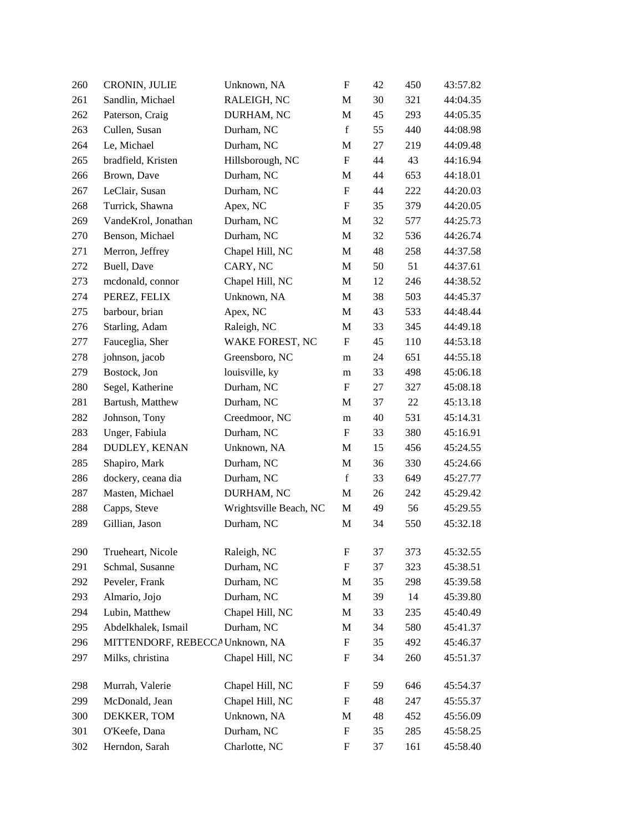| 260 | CRONIN, JULIE                   | Unknown, NA            | $\boldsymbol{\mathrm{F}}$ | 42 | 450 | 43:57.82 |
|-----|---------------------------------|------------------------|---------------------------|----|-----|----------|
| 261 | Sandlin, Michael                | RALEIGH, NC            | M                         | 30 | 321 | 44:04.35 |
| 262 | Paterson, Craig                 | DURHAM, NC             | M                         | 45 | 293 | 44:05.35 |
| 263 | Cullen, Susan                   | Durham, NC             | $\mathbf f$               | 55 | 440 | 44:08.98 |
| 264 | Le, Michael                     | Durham, NC             | M                         | 27 | 219 | 44:09.48 |
| 265 | bradfield, Kristen              | Hillsborough, NC       | ${\bf F}$                 | 44 | 43  | 44:16.94 |
| 266 | Brown, Dave                     | Durham, NC             | M                         | 44 | 653 | 44:18.01 |
| 267 | LeClair, Susan                  | Durham, NC             | $\boldsymbol{\mathrm{F}}$ | 44 | 222 | 44:20.03 |
| 268 | Turrick, Shawna                 | Apex, NC               | $\mathbf F$               | 35 | 379 | 44:20.05 |
| 269 | VandeKrol, Jonathan             | Durham, NC             | M                         | 32 | 577 | 44:25.73 |
| 270 | Benson, Michael                 | Durham, NC             | M                         | 32 | 536 | 44:26.74 |
| 271 | Merron, Jeffrey                 | Chapel Hill, NC        | M                         | 48 | 258 | 44:37.58 |
| 272 | Buell, Dave                     | CARY, NC               | M                         | 50 | 51  | 44:37.61 |
| 273 | mcdonald, connor                | Chapel Hill, NC        | M                         | 12 | 246 | 44:38.52 |
| 274 | PEREZ, FELIX                    | Unknown, NA            | M                         | 38 | 503 | 44:45.37 |
| 275 | barbour, brian                  | Apex, NC               | M                         | 43 | 533 | 44:48.44 |
| 276 | Starling, Adam                  | Raleigh, NC            | M                         | 33 | 345 | 44:49.18 |
| 277 | Fauceglia, Sher                 | WAKE FOREST, NC        | $\boldsymbol{F}$          | 45 | 110 | 44:53.18 |
| 278 | johnson, jacob                  | Greensboro, NC         | m                         | 24 | 651 | 44:55.18 |
| 279 | Bostock, Jon                    | louisville, ky         | m                         | 33 | 498 | 45:06.18 |
| 280 | Segel, Katherine                | Durham, NC             | F                         | 27 | 327 | 45:08.18 |
| 281 | Bartush, Matthew                | Durham, NC             | M                         | 37 | 22  | 45:13.18 |
| 282 | Johnson, Tony                   | Creedmoor, NC          | m                         | 40 | 531 | 45:14.31 |
| 283 | Unger, Fabiula                  | Durham, NC             | $\mathbf F$               | 33 | 380 | 45:16.91 |
| 284 | DUDLEY, KENAN                   | Unknown, NA            | M                         | 15 | 456 | 45:24.55 |
| 285 | Shapiro, Mark                   | Durham, NC             | M                         | 36 | 330 | 45:24.66 |
| 286 | dockery, ceana dia              | Durham, NC             | $\mathbf f$               | 33 | 649 | 45:27.77 |
| 287 | Masten, Michael                 | DURHAM, NC             | M                         | 26 | 242 | 45:29.42 |
| 288 | Capps, Steve                    | Wrightsville Beach, NC | M                         | 49 | 56  | 45:29.55 |
| 289 | Gillian, Jason                  | Durham, NC             | M                         | 34 | 550 | 45:32.18 |
| 290 | Trueheart, Nicole               | Raleigh, NC            | F                         | 37 | 373 | 45:32.55 |
| 291 | Schmal, Susanne                 | Durham, NC             | F                         | 37 | 323 | 45:38.51 |
| 292 | Peveler, Frank                  | Durham, NC             | M                         | 35 | 298 | 45:39.58 |
| 293 | Almario, Jojo                   | Durham, NC             | M                         | 39 | 14  | 45:39.80 |
| 294 | Lubin, Matthew                  | Chapel Hill, NC        | M                         | 33 | 235 | 45:40.49 |
| 295 | Abdelkhalek, Ismail             | Durham, NC             | M                         | 34 | 580 | 45:41.37 |
| 296 | MITTENDORF, REBECCA Unknown, NA |                        | $\boldsymbol{F}$          | 35 | 492 | 45:46.37 |
| 297 | Milks, christina                | Chapel Hill, NC        | $\mathbf F$               | 34 | 260 | 45:51.37 |
| 298 | Murrah, Valerie                 | Chapel Hill, NC        | F                         | 59 | 646 | 45:54.37 |
| 299 | McDonald, Jean                  | Chapel Hill, NC        | $\mathbf F$               | 48 | 247 | 45:55.37 |
| 300 | DEKKER, TOM                     | Unknown, NA            | M                         | 48 | 452 | 45:56.09 |
| 301 | O'Keefe, Dana                   | Durham, NC             | $\mathbf F$               | 35 | 285 | 45:58.25 |
| 302 | Herndon, Sarah                  | Charlotte, NC          | F                         | 37 | 161 | 45:58.40 |
|     |                                 |                        |                           |    |     |          |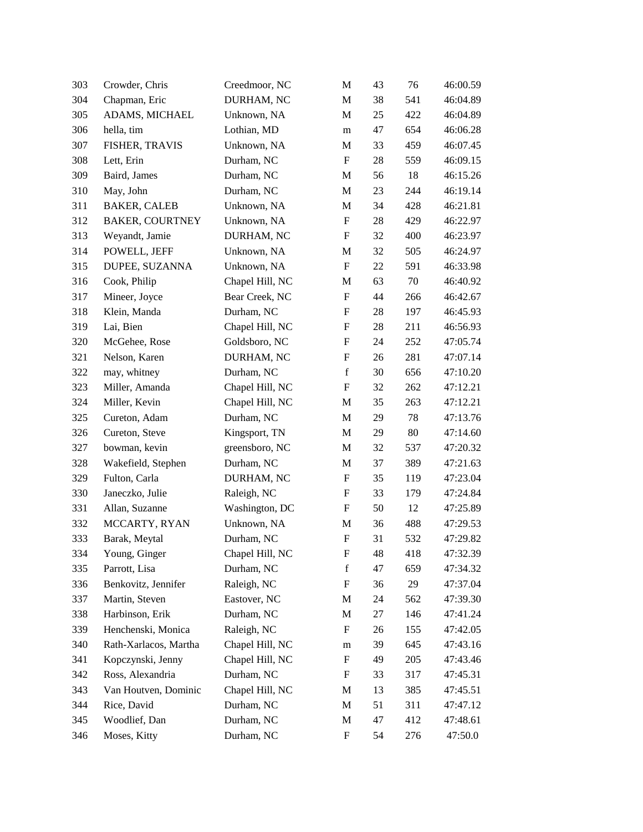| 303 | Crowder, Chris         | Creedmoor, NC   | M                         | 43 | 76  | 46:00.59 |
|-----|------------------------|-----------------|---------------------------|----|-----|----------|
| 304 | Chapman, Eric          | DURHAM, NC      | M                         | 38 | 541 | 46:04.89 |
| 305 | ADAMS, MICHAEL         | Unknown, NA     | M                         | 25 | 422 | 46:04.89 |
| 306 | hella, tim             | Lothian, MD     | m                         | 47 | 654 | 46:06.28 |
| 307 | FISHER, TRAVIS         | Unknown, NA     | M                         | 33 | 459 | 46:07.45 |
| 308 | Lett, Erin             | Durham, NC      | ${\bf F}$                 | 28 | 559 | 46:09.15 |
| 309 | Baird, James           | Durham, NC      | M                         | 56 | 18  | 46:15.26 |
| 310 | May, John              | Durham, NC      | M                         | 23 | 244 | 46:19.14 |
| 311 | <b>BAKER, CALEB</b>    | Unknown, NA     | M                         | 34 | 428 | 46:21.81 |
| 312 | <b>BAKER, COURTNEY</b> | Unknown, NA     | $\boldsymbol{F}$          | 28 | 429 | 46:22.97 |
| 313 | Weyandt, Jamie         | DURHAM, NC      | $\boldsymbol{\mathrm{F}}$ | 32 | 400 | 46:23.97 |
| 314 | POWELL, JEFF           | Unknown, NA     | M                         | 32 | 505 | 46:24.97 |
| 315 | DUPEE, SUZANNA         | Unknown, NA     | $\boldsymbol{\mathrm{F}}$ | 22 | 591 | 46:33.98 |
| 316 | Cook, Philip           | Chapel Hill, NC | M                         | 63 | 70  | 46:40.92 |
| 317 | Mineer, Joyce          | Bear Creek, NC  | F                         | 44 | 266 | 46:42.67 |
| 318 | Klein, Manda           | Durham, NC      | F                         | 28 | 197 | 46:45.93 |
| 319 | Lai, Bien              | Chapel Hill, NC | F                         | 28 | 211 | 46:56.93 |
| 320 | McGehee, Rose          | Goldsboro, NC   | $\boldsymbol{\mathrm{F}}$ | 24 | 252 | 47:05.74 |
| 321 | Nelson, Karen          | DURHAM, NC      | F                         | 26 | 281 | 47:07.14 |
| 322 | may, whitney           | Durham, NC      | $\mathbf f$               | 30 | 656 | 47:10.20 |
| 323 | Miller, Amanda         | Chapel Hill, NC | F                         | 32 | 262 | 47:12.21 |
| 324 | Miller, Kevin          | Chapel Hill, NC | M                         | 35 | 263 | 47:12.21 |
| 325 | Cureton, Adam          | Durham, NC      | M                         | 29 | 78  | 47:13.76 |
| 326 | Cureton, Steve         | Kingsport, TN   | M                         | 29 | 80  | 47:14.60 |
| 327 | bowman, kevin          | greensboro, NC  | M                         | 32 | 537 | 47:20.32 |
| 328 | Wakefield, Stephen     | Durham, NC      | M                         | 37 | 389 | 47:21.63 |
| 329 | Fulton, Carla          | DURHAM, NC      | F                         | 35 | 119 | 47:23.04 |
| 330 | Janeczko, Julie        | Raleigh, NC     | $\boldsymbol{\mathrm{F}}$ | 33 | 179 | 47:24.84 |
| 331 | Allan, Suzanne         | Washington, DC  | $\boldsymbol{\mathrm{F}}$ | 50 | 12  | 47:25.89 |
| 332 | MCCARTY, RYAN          | Unknown, NA     | M                         | 36 | 488 | 47:29.53 |
| 333 | Barak, Meytal          | Durham, NC      | F                         | 31 | 532 | 47:29.82 |
| 334 | Young, Ginger          | Chapel Hill, NC | F                         | 48 | 418 | 47:32.39 |
| 335 | Parrott, Lisa          | Durham, NC      | $\mathbf f$               | 47 | 659 | 47:34.32 |
| 336 | Benkovitz, Jennifer    | Raleigh, NC     | F                         | 36 | 29  | 47:37.04 |
| 337 | Martin, Steven         | Eastover, NC    | M                         | 24 | 562 | 47:39.30 |
| 338 | Harbinson, Erik        | Durham, NC      | M                         | 27 | 146 | 47:41.24 |
| 339 | Henchenski, Monica     | Raleigh, NC     | F                         | 26 | 155 | 47:42.05 |
| 340 | Rath-Xarlacos, Martha  | Chapel Hill, NC | m                         | 39 | 645 | 47:43.16 |
| 341 | Kopczynski, Jenny      | Chapel Hill, NC | F                         | 49 | 205 | 47:43.46 |
| 342 | Ross, Alexandria       | Durham, NC      | F                         | 33 | 317 | 47:45.31 |
| 343 | Van Houtven, Dominic   | Chapel Hill, NC | M                         | 13 | 385 | 47:45.51 |
| 344 | Rice, David            | Durham, NC      | M                         | 51 | 311 | 47:47.12 |
| 345 | Woodlief, Dan          | Durham, NC      | M                         | 47 | 412 | 47:48.61 |
| 346 | Moses, Kitty           | Durham, NC      | F                         | 54 | 276 | 47:50.0  |
|     |                        |                 |                           |    |     |          |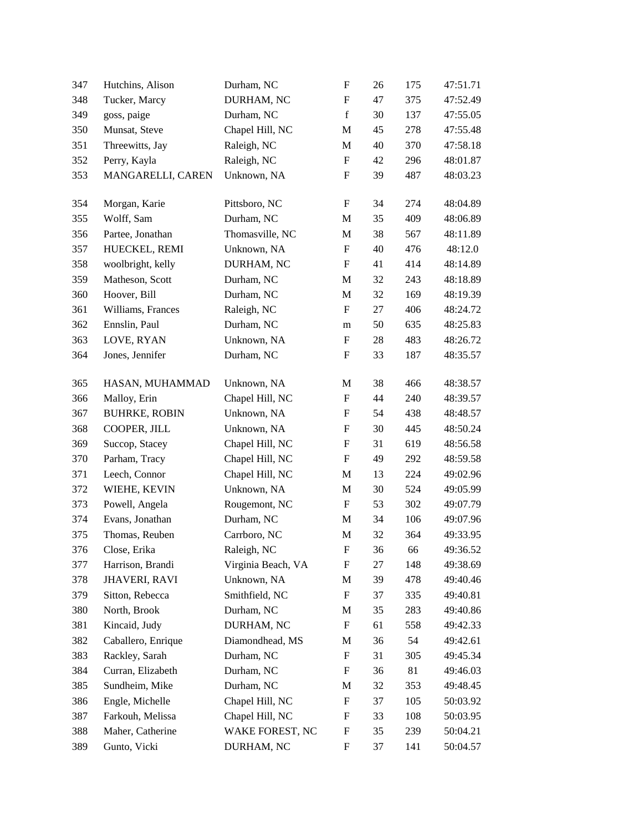| 347 | Hutchins, Alison     | Durham, NC         | $\boldsymbol{\mathrm{F}}$ | 26 | 175 | 47:51.71 |
|-----|----------------------|--------------------|---------------------------|----|-----|----------|
| 348 | Tucker, Marcy        | DURHAM, NC         | F                         | 47 | 375 | 47:52.49 |
| 349 | goss, paige          | Durham, NC         | $\mathbf f$               | 30 | 137 | 47:55.05 |
| 350 | Munsat, Steve        | Chapel Hill, NC    | M                         | 45 | 278 | 47:55.48 |
| 351 | Threewitts, Jay      | Raleigh, NC        | M                         | 40 | 370 | 47:58.18 |
| 352 | Perry, Kayla         | Raleigh, NC        | ${\bf F}$                 | 42 | 296 | 48:01.87 |
| 353 | MANGARELLI, CAREN    | Unknown, NA        | $\boldsymbol{\mathrm{F}}$ | 39 | 487 | 48:03.23 |
| 354 | Morgan, Karie        | Pittsboro, NC      | ${\bf F}$                 | 34 | 274 | 48:04.89 |
| 355 | Wolff, Sam           | Durham, NC         | M                         | 35 | 409 | 48:06.89 |
| 356 | Partee, Jonathan     | Thomasville, NC    | M                         | 38 | 567 | 48:11.89 |
| 357 | HUECKEL, REMI        | Unknown, NA        | F                         | 40 | 476 | 48:12.0  |
| 358 | woolbright, kelly    | DURHAM, NC         | F                         | 41 | 414 | 48:14.89 |
| 359 | Matheson, Scott      | Durham, NC         | M                         | 32 | 243 | 48:18.89 |
| 360 | Hoover, Bill         | Durham, NC         | M                         | 32 | 169 | 48:19.39 |
| 361 | Williams, Frances    | Raleigh, NC        | F                         | 27 | 406 | 48:24.72 |
| 362 | Ennslin, Paul        | Durham, NC         | m                         | 50 | 635 | 48:25.83 |
| 363 | LOVE, RYAN           | Unknown, NA        | F                         | 28 | 483 | 48:26.72 |
| 364 | Jones, Jennifer      | Durham, NC         | F                         | 33 | 187 | 48:35.57 |
| 365 | HASAN, MUHAMMAD      | Unknown, NA        | M                         | 38 | 466 | 48:38.57 |
| 366 | Malloy, Erin         | Chapel Hill, NC    | ${\bf F}$                 | 44 | 240 | 48:39.57 |
| 367 | <b>BUHRKE, ROBIN</b> | Unknown, NA        | F                         | 54 | 438 | 48:48.57 |
| 368 | COOPER, JILL         | Unknown, NA        | F                         | 30 | 445 | 48:50.24 |
| 369 | Succop, Stacey       | Chapel Hill, NC    | $\boldsymbol{\mathrm{F}}$ | 31 | 619 | 48:56.58 |
| 370 | Parham, Tracy        | Chapel Hill, NC    | F                         | 49 | 292 | 48:59.58 |
| 371 | Leech, Connor        | Chapel Hill, NC    | M                         | 13 | 224 | 49:02.96 |
| 372 | WIEHE, KEVIN         | Unknown, NA        | M                         | 30 | 524 | 49:05.99 |
| 373 | Powell, Angela       | Rougemont, NC      | F                         | 53 | 302 | 49:07.79 |
| 374 | Evans, Jonathan      | Durham, NC         | M                         | 34 | 106 | 49:07.96 |
| 375 | Thomas, Reuben       | Carrboro, NC       | M                         | 32 | 364 | 49:33.95 |
| 376 | Close, Erika         | Raleigh, NC        | $\mathbf F$               | 36 | 66  | 49:36.52 |
| 377 | Harrison, Brandi     | Virginia Beach, VA | F                         | 27 | 148 | 49:38.69 |
| 378 | <b>JHAVERI, RAVI</b> | Unknown, NA        | $\mathbf M$               | 39 | 478 | 49:40.46 |
| 379 | Sitton, Rebecca      | Smithfield, NC     | F                         | 37 | 335 | 49:40.81 |
| 380 | North, Brook         | Durham, NC         | M                         | 35 | 283 | 49:40.86 |
| 381 | Kincaid, Judy        | DURHAM, NC         | ${\bf F}$                 | 61 | 558 | 49:42.33 |
| 382 | Caballero, Enrique   | Diamondhead, MS    | M                         | 36 | 54  | 49:42.61 |
| 383 | Rackley, Sarah       | Durham, NC         | F                         | 31 | 305 | 49:45.34 |
| 384 | Curran, Elizabeth    | Durham, NC         | $\boldsymbol{\mathrm{F}}$ | 36 | 81  | 49:46.03 |
| 385 | Sundheim, Mike       | Durham, NC         | M                         | 32 | 353 | 49:48.45 |
| 386 | Engle, Michelle      | Chapel Hill, NC    | F                         | 37 | 105 | 50:03.92 |
| 387 | Farkouh, Melissa     | Chapel Hill, NC    | F                         | 33 | 108 | 50:03.95 |
| 388 | Maher, Catherine     | WAKE FOREST, NC    | F                         | 35 | 239 | 50:04.21 |
| 389 | Gunto, Vicki         | DURHAM, NC         | F                         | 37 | 141 | 50:04.57 |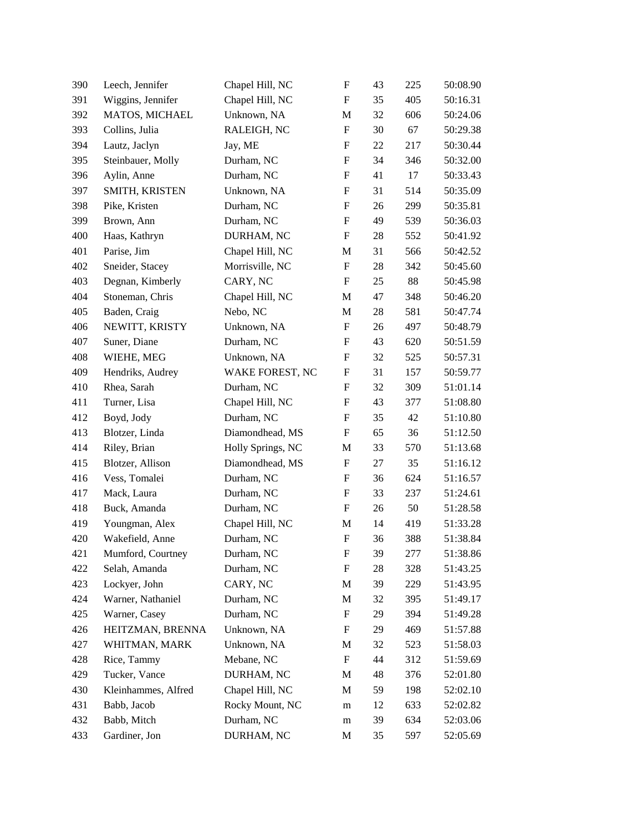| 390 | Leech, Jennifer     | Chapel Hill, NC   | $\boldsymbol{\mathrm{F}}$ | 43 | 225 | 50:08.90 |
|-----|---------------------|-------------------|---------------------------|----|-----|----------|
| 391 | Wiggins, Jennifer   | Chapel Hill, NC   | F                         | 35 | 405 | 50:16.31 |
| 392 | MATOS, MICHAEL      | Unknown, NA       | $\mathbf M$               | 32 | 606 | 50:24.06 |
| 393 | Collins, Julia      | RALEIGH, NC       | $\boldsymbol{\mathrm{F}}$ | 30 | 67  | 50:29.38 |
| 394 | Lautz, Jaclyn       | Jay, ME           | $\boldsymbol{F}$          | 22 | 217 | 50:30.44 |
| 395 | Steinbauer, Molly   | Durham, NC        | $\boldsymbol{\mathrm{F}}$ | 34 | 346 | 50:32.00 |
| 396 | Aylin, Anne         | Durham, NC        | $\boldsymbol{F}$          | 41 | 17  | 50:33.43 |
| 397 | SMITH, KRISTEN      | Unknown, NA       | $\boldsymbol{\mathrm{F}}$ | 31 | 514 | 50:35.09 |
| 398 | Pike, Kristen       | Durham, NC        | $\boldsymbol{\mathrm{F}}$ | 26 | 299 | 50:35.81 |
| 399 | Brown, Ann          | Durham, NC        | $\boldsymbol{\mathrm{F}}$ | 49 | 539 | 50:36.03 |
| 400 | Haas, Kathryn       | DURHAM, NC        | $\boldsymbol{\mathrm{F}}$ | 28 | 552 | 50:41.92 |
| 401 | Parise, Jim         | Chapel Hill, NC   | M                         | 31 | 566 | 50:42.52 |
| 402 | Sneider, Stacey     | Morrisville, NC   | $\boldsymbol{\mathrm{F}}$ | 28 | 342 | 50:45.60 |
| 403 | Degnan, Kimberly    | CARY, NC          | $\boldsymbol{\mathrm{F}}$ | 25 | 88  | 50:45.98 |
| 404 | Stoneman, Chris     | Chapel Hill, NC   | M                         | 47 | 348 | 50:46.20 |
| 405 | Baden, Craig        | Nebo, NC          | M                         | 28 | 581 | 50:47.74 |
| 406 | NEWITT, KRISTY      | Unknown, NA       | $\boldsymbol{F}$          | 26 | 497 | 50:48.79 |
| 407 | Suner, Diane        | Durham, NC        | $\boldsymbol{F}$          | 43 | 620 | 50:51.59 |
| 408 | WIEHE, MEG          | Unknown, NA       | $\boldsymbol{F}$          | 32 | 525 | 50:57.31 |
| 409 | Hendriks, Audrey    | WAKE FOREST, NC   | $\boldsymbol{F}$          | 31 | 157 | 50:59.77 |
| 410 | Rhea, Sarah         | Durham, NC        | $\boldsymbol{\mathrm{F}}$ | 32 | 309 | 51:01.14 |
| 411 | Turner, Lisa        | Chapel Hill, NC   | $\boldsymbol{F}$          | 43 | 377 | 51:08.80 |
| 412 | Boyd, Jody          | Durham, NC        | $\boldsymbol{\mathrm{F}}$ | 35 | 42  | 51:10.80 |
| 413 | Blotzer, Linda      | Diamondhead, MS   | $\boldsymbol{\mathrm{F}}$ | 65 | 36  | 51:12.50 |
| 414 | Riley, Brian        | Holly Springs, NC | M                         | 33 | 570 | 51:13.68 |
| 415 | Blotzer, Allison    | Diamondhead, MS   | $\boldsymbol{\mathrm{F}}$ | 27 | 35  | 51:16.12 |
| 416 | Vess, Tomalei       | Durham, NC        | $\boldsymbol{F}$          | 36 | 624 | 51:16.57 |
| 417 | Mack, Laura         | Durham, NC        | $\boldsymbol{F}$          | 33 | 237 | 51:24.61 |
| 418 | Buck, Amanda        | Durham, NC        | $\boldsymbol{F}$          | 26 | 50  | 51:28.58 |
| 419 | Youngman, Alex      | Chapel Hill, NC   | M                         | 14 | 419 | 51:33.28 |
| 420 | Wakefield, Anne     | Durham, NC        | $\boldsymbol{\mathrm{F}}$ | 36 | 388 | 51:38.84 |
| 421 | Mumford, Courtney   | Durham, NC        | F                         | 39 | 277 | 51:38.86 |
| 422 | Selah, Amanda       | Durham, NC        | $\mathbf F$               | 28 | 328 | 51:43.25 |
| 423 | Lockyer, John       | CARY, NC          | M                         | 39 | 229 | 51:43.95 |
| 424 | Warner, Nathaniel   | Durham, NC        | M                         | 32 | 395 | 51:49.17 |
| 425 | Warner, Casey       | Durham, NC        | $\boldsymbol{\mathrm{F}}$ | 29 | 394 | 51:49.28 |
| 426 | HEITZMAN, BRENNA    | Unknown, NA       | $\boldsymbol{F}$          | 29 | 469 | 51:57.88 |
| 427 | WHITMAN, MARK       | Unknown, NA       | $\mathbf M$               | 32 | 523 | 51:58.03 |
| 428 | Rice, Tammy         | Mebane, NC        | $\boldsymbol{F}$          | 44 | 312 | 51:59.69 |
| 429 | Tucker, Vance       | DURHAM, NC        | M                         | 48 | 376 | 52:01.80 |
| 430 | Kleinhammes, Alfred | Chapel Hill, NC   | M                         | 59 | 198 | 52:02.10 |
| 431 | Babb, Jacob         | Rocky Mount, NC   | m                         | 12 | 633 | 52:02.82 |
| 432 | Babb, Mitch         | Durham, NC        | m                         | 39 | 634 | 52:03.06 |
| 433 | Gardiner, Jon       | DURHAM, NC        | M                         | 35 | 597 | 52:05.69 |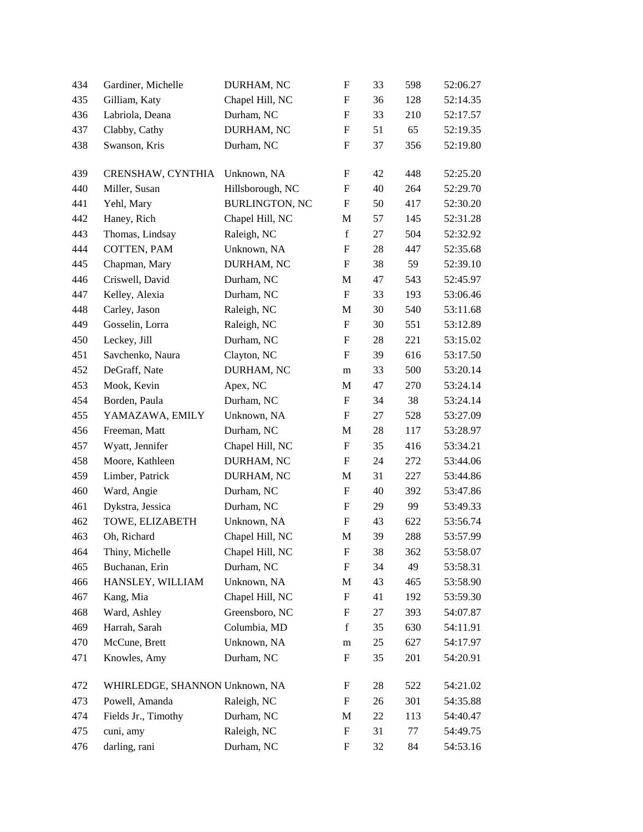| 434 | Gardiner, Michelle             | DURHAM, NC            | F                         | 33     | 598 | 52:06.27 |
|-----|--------------------------------|-----------------------|---------------------------|--------|-----|----------|
| 435 | Gilliam, Katy                  | Chapel Hill, NC       | F                         | 36     | 128 | 52:14.35 |
| 436 | Labriola, Deana                | Durham, NC            | $\boldsymbol{\mathrm{F}}$ | 33     | 210 | 52:17.57 |
| 437 | Clabby, Cathy                  | DURHAM, NC            | F                         | 51     | 65  | 52:19.35 |
| 438 | Swanson, Kris                  | Durham, NC            | $\boldsymbol{\mathrm{F}}$ | 37     | 356 | 52:19.80 |
| 439 | CRENSHAW, CYNTHIA              | Unknown, NA           | F                         | 42     | 448 | 52:25.20 |
| 440 | Miller, Susan                  | Hillsborough, NC      | F                         | 40     | 264 | 52:29.70 |
| 441 | Yehl, Mary                     | <b>BURLINGTON, NC</b> | $\boldsymbol{F}$          | 50     | 417 | 52:30.20 |
| 442 | Haney, Rich                    | Chapel Hill, NC       | M                         | 57     | 145 | 52:31.28 |
| 443 | Thomas, Lindsay                | Raleigh, NC           | $\mathbf f$               | 27     | 504 | 52:32.92 |
| 444 | COTTEN, PAM                    | Unknown, NA           | $\boldsymbol{\mathrm{F}}$ | 28     | 447 | 52:35.68 |
| 445 | Chapman, Mary                  | DURHAM, NC            | F                         | 38     | 59  | 52:39.10 |
| 446 | Criswell, David                | Durham, NC            | M                         | 47     | 543 | 52:45.97 |
| 447 | Kelley, Alexia                 | Durham, NC            | $\boldsymbol{\mathrm{F}}$ | 33     | 193 | 53:06.46 |
| 448 | Carley, Jason                  | Raleigh, NC           | M                         | 30     | 540 | 53:11.68 |
| 449 | Gosselin, Lorra                | Raleigh, NC           | F                         | 30     | 551 | 53:12.89 |
| 450 | Leckey, Jill                   | Durham, NC            | F                         | 28     | 221 | 53:15.02 |
| 451 | Savchenko, Naura               | Clayton, NC           | F                         | 39     | 616 | 53:17.50 |
| 452 | DeGraff, Nate                  | DURHAM, NC            | m                         | 33     | 500 | 53:20.14 |
| 453 | Mook, Kevin                    | Apex, NC              | M                         | 47     | 270 | 53:24.14 |
| 454 | Borden, Paula                  | Durham, NC            | F                         | 34     | 38  | 53:24.14 |
| 455 | YAMAZAWA, EMILY                | Unknown, NA           | $\boldsymbol{F}$          | 27     | 528 | 53:27.09 |
| 456 | Freeman, Matt                  | Durham, NC            | M                         | 28     | 117 | 53:28.97 |
| 457 | Wyatt, Jennifer                | Chapel Hill, NC       | F                         | 35     | 416 | 53:34.21 |
| 458 | Moore, Kathleen                | DURHAM, NC            | $\boldsymbol{\mathrm{F}}$ | 24     | 272 | 53:44.06 |
| 459 | Limber, Patrick                | DURHAM, NC            | M                         | 31     | 227 | 53:44.86 |
| 460 | Ward, Angie                    | Durham, NC            | F                         | 40     | 392 | 53:47.86 |
| 461 | Dykstra, Jessica               | Durham, NC            | $\boldsymbol{\mathrm{F}}$ | 29     | 99  | 53:49.33 |
| 462 | TOWE, ELIZABETH                | Unknown, NA           | $\boldsymbol{F}$          | 43     | 622 | 53:56.74 |
| 463 | Oh, Richard                    | Chapel Hill, NC       | M                         | 39     | 288 | 53:57.99 |
| 464 | Thiny, Michelle                | Chapel Hill, NC       | ${\bf F}$                 | 38     | 362 | 53:58.07 |
| 465 | Buchanan, Erin                 | Durham, NC            | F                         | 34     | 49  | 53:58.31 |
| 466 | HANSLEY, WILLIAM               | Unknown, NA           | M                         | 43     | 465 | 53:58.90 |
| 467 | Kang, Mia                      | Chapel Hill, NC       | $\boldsymbol{\mathrm{F}}$ | 41     | 192 | 53:59.30 |
| 468 | Ward, Ashley                   | Greensboro, NC        | F                         | 27     | 393 | 54:07.87 |
| 469 | Harrah, Sarah                  | Columbia, MD          | $\mathbf f$               | 35     | 630 | 54:11.91 |
| 470 | McCune, Brett                  | Unknown, NA           | m                         | 25     | 627 | 54:17.97 |
| 471 | Knowles, Amy                   | Durham, NC            | F                         | 35     | 201 | 54:20.91 |
| 472 | WHIRLEDGE, SHANNON Unknown, NA |                       | F                         | 28     | 522 | 54:21.02 |
| 473 | Powell, Amanda                 | Raleigh, NC           | F                         | $26\,$ | 301 | 54:35.88 |
| 474 | Fields Jr., Timothy            | Durham, NC            | M                         | 22     | 113 | 54:40.47 |
| 475 | cuni, amy                      | Raleigh, NC           | F                         | 31     | 77  | 54:49.75 |
| 476 | darling, rani                  | Durham, NC            | F                         | 32     | 84  | 54:53.16 |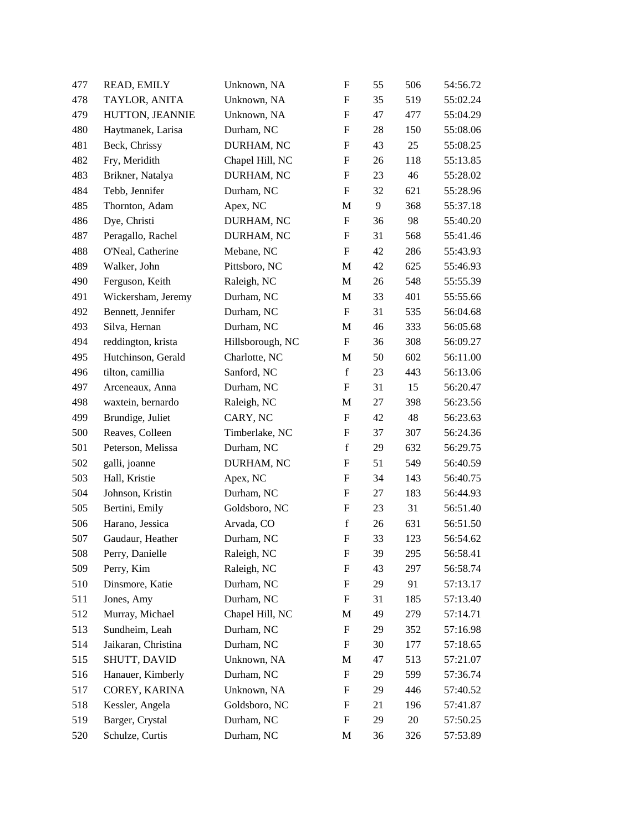| 477 | READ, EMILY         | Unknown, NA      | $\boldsymbol{F}$          | 55 | 506 | 54:56.72 |
|-----|---------------------|------------------|---------------------------|----|-----|----------|
| 478 | TAYLOR, ANITA       | Unknown, NA      | $\boldsymbol{\mathrm{F}}$ | 35 | 519 | 55:02.24 |
| 479 | HUTTON, JEANNIE     | Unknown, NA      | F                         | 47 | 477 | 55:04.29 |
| 480 | Haytmanek, Larisa   | Durham, NC       | $\boldsymbol{F}$          | 28 | 150 | 55:08.06 |
| 481 | Beck, Chrissy       | DURHAM, NC       | $\boldsymbol{F}$          | 43 | 25  | 55:08.25 |
| 482 | Fry, Meridith       | Chapel Hill, NC  | $\boldsymbol{\mathrm{F}}$ | 26 | 118 | 55:13.85 |
| 483 | Brikner, Natalya    | DURHAM, NC       | $\boldsymbol{F}$          | 23 | 46  | 55:28.02 |
| 484 | Tebb, Jennifer      | Durham, NC       | F                         | 32 | 621 | 55:28.96 |
| 485 | Thornton, Adam      | Apex, NC         | M                         | 9  | 368 | 55:37.18 |
| 486 | Dye, Christi        | DURHAM, NC       | $\boldsymbol{\mathrm{F}}$ | 36 | 98  | 55:40.20 |
| 487 | Peragallo, Rachel   | DURHAM, NC       | $\boldsymbol{\mathrm{F}}$ | 31 | 568 | 55:41.46 |
| 488 | O'Neal, Catherine   | Mebane, NC       | $\mathbf F$               | 42 | 286 | 55:43.93 |
| 489 | Walker, John        | Pittsboro, NC    | M                         | 42 | 625 | 55:46.93 |
| 490 | Ferguson, Keith     | Raleigh, NC      | M                         | 26 | 548 | 55:55.39 |
| 491 | Wickersham, Jeremy  | Durham, NC       | M                         | 33 | 401 | 55:55.66 |
| 492 | Bennett, Jennifer   | Durham, NC       | $\boldsymbol{\mathrm{F}}$ | 31 | 535 | 56:04.68 |
| 493 | Silva, Hernan       | Durham, NC       | M                         | 46 | 333 | 56:05.68 |
| 494 | reddington, krista  | Hillsborough, NC | $\boldsymbol{\mathrm{F}}$ | 36 | 308 | 56:09.27 |
| 495 | Hutchinson, Gerald  | Charlotte, NC    | M                         | 50 | 602 | 56:11.00 |
| 496 | tilton, camillia    | Sanford, NC      | $\mathbf f$               | 23 | 443 | 56:13.06 |
| 497 | Arceneaux, Anna     | Durham, NC       | $\boldsymbol{\mathrm{F}}$ | 31 | 15  | 56:20.47 |
| 498 | waxtein, bernardo   | Raleigh, NC      | M                         | 27 | 398 | 56:23.56 |
| 499 | Brundige, Juliet    | CARY, NC         | $\boldsymbol{F}$          | 42 | 48  | 56:23.63 |
| 500 | Reaves, Colleen     | Timberlake, NC   | $\boldsymbol{F}$          | 37 | 307 | 56:24.36 |
| 501 | Peterson, Melissa   | Durham, NC       | $\mathbf f$               | 29 | 632 | 56:29.75 |
| 502 | galli, joanne       | DURHAM, NC       | $\boldsymbol{\mathrm{F}}$ | 51 | 549 | 56:40.59 |
| 503 | Hall, Kristie       | Apex, NC         | $\boldsymbol{F}$          | 34 | 143 | 56:40.75 |
| 504 | Johnson, Kristin    | Durham, NC       | $\boldsymbol{F}$          | 27 | 183 | 56:44.93 |
| 505 | Bertini, Emily      | Goldsboro, NC    | $\boldsymbol{F}$          | 23 | 31  | 56:51.40 |
| 506 | Harano, Jessica     | Arvada, CO       | $\mathbf f$               | 26 | 631 | 56:51.50 |
| 507 | Gaudaur, Heather    | Durham, NC       | $\boldsymbol{\mathrm{F}}$ | 33 | 123 | 56:54.62 |
| 508 | Perry, Danielle     | Raleigh, NC      | $\mathbf F$               | 39 | 295 | 56:58.41 |
| 509 | Perry, Kim          | Raleigh, NC      | $\boldsymbol{F}$          | 43 | 297 | 56:58.74 |
| 510 | Dinsmore, Katie     | Durham, NC       | $\boldsymbol{F}$          | 29 | 91  | 57:13.17 |
| 511 | Jones, Amy          | Durham, NC       | $\mathbf F$               | 31 | 185 | 57:13.40 |
| 512 | Murray, Michael     | Chapel Hill, NC  | M                         | 49 | 279 | 57:14.71 |
| 513 | Sundheim, Leah      | Durham, NC       | $\boldsymbol{F}$          | 29 | 352 | 57:16.98 |
| 514 | Jaikaran, Christina | Durham, NC       | $\boldsymbol{F}$          | 30 | 177 | 57:18.65 |
| 515 | SHUTT, DAVID        | Unknown, NA      | M                         | 47 | 513 | 57:21.07 |
| 516 | Hanauer, Kimberly   | Durham, NC       | $\boldsymbol{F}$          | 29 | 599 | 57:36.74 |
| 517 | COREY, KARINA       | Unknown, NA      | $\boldsymbol{F}$          | 29 | 446 | 57:40.52 |
| 518 | Kessler, Angela     | Goldsboro, NC    | $\boldsymbol{F}$          | 21 | 196 | 57:41.87 |
| 519 | Barger, Crystal     | Durham, NC       | $\boldsymbol{F}$          | 29 | 20  | 57:50.25 |
| 520 | Schulze, Curtis     | Durham, NC       | M                         | 36 | 326 | 57:53.89 |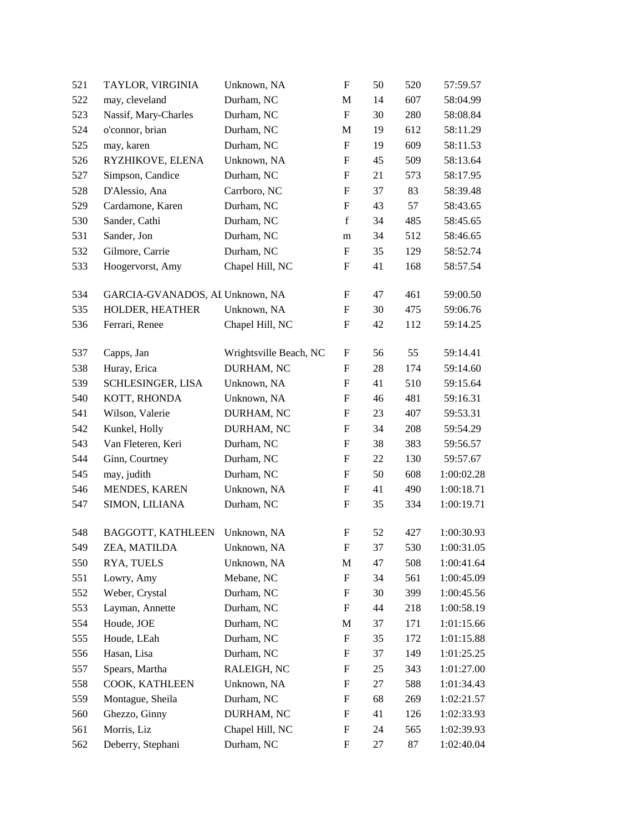| 521 | TAYLOR, VIRGINIA                | Unknown, NA            | $\boldsymbol{\mathrm{F}}$ | 50 | 520 | 57:59.57   |
|-----|---------------------------------|------------------------|---------------------------|----|-----|------------|
| 522 | may, cleveland                  | Durham, NC             | M                         | 14 | 607 | 58:04.99   |
| 523 | Nassif, Mary-Charles            | Durham, NC             | $\boldsymbol{\mathrm{F}}$ | 30 | 280 | 58:08.84   |
| 524 | o'connor, brian                 | Durham, NC             | M                         | 19 | 612 | 58:11.29   |
| 525 | may, karen                      | Durham, NC             | $\boldsymbol{\mathrm{F}}$ | 19 | 609 | 58:11.53   |
| 526 | RYZHIKOVE, ELENA                | Unknown, NA            | $\boldsymbol{\mathrm{F}}$ | 45 | 509 | 58:13.64   |
| 527 | Simpson, Candice                | Durham, NC             | F                         | 21 | 573 | 58:17.95   |
| 528 | D'Alessio, Ana                  | Carrboro, NC           | $\boldsymbol{\mathrm{F}}$ | 37 | 83  | 58:39.48   |
| 529 | Cardamone, Karen                | Durham, NC             | $\boldsymbol{F}$          | 43 | 57  | 58:43.65   |
| 530 | Sander, Cathi                   | Durham, NC             | $\mathbf f$               | 34 | 485 | 58:45.65   |
| 531 | Sander, Jon                     | Durham, NC             | ${\rm m}$                 | 34 | 512 | 58:46.65   |
| 532 | Gilmore, Carrie                 | Durham, NC             | $\mathbf F$               | 35 | 129 | 58:52.74   |
| 533 | Hoogervorst, Amy                | Chapel Hill, NC        | $\boldsymbol{F}$          | 41 | 168 | 58:57.54   |
| 534 | GARCIA-GVANADOS, AL Unknown, NA |                        | $\boldsymbol{F}$          | 47 | 461 | 59:00.50   |
| 535 | HOLDER, HEATHER                 | Unknown, NA            | $\boldsymbol{F}$          | 30 | 475 | 59:06.76   |
| 536 | Ferrari, Renee                  | Chapel Hill, NC        | $\boldsymbol{F}$          | 42 | 112 | 59:14.25   |
| 537 | Capps, Jan                      | Wrightsville Beach, NC | $\boldsymbol{\mathrm{F}}$ | 56 | 55  | 59:14.41   |
| 538 | Huray, Erica                    | DURHAM, NC             | $\boldsymbol{\mathrm{F}}$ | 28 | 174 | 59:14.60   |
| 539 | SCHLESINGER, LISA               | Unknown, NA            | F                         | 41 | 510 | 59:15.64   |
| 540 | KOTT, RHONDA                    | Unknown, NA            | F                         | 46 | 481 | 59:16.31   |
| 541 | Wilson, Valerie                 | DURHAM, NC             | $\boldsymbol{F}$          | 23 | 407 | 59:53.31   |
| 542 | Kunkel, Holly                   | DURHAM, NC             | $\mathbf F$               | 34 | 208 | 59:54.29   |
| 543 | Van Fleteren, Keri              | Durham, NC             | $\boldsymbol{\mathrm{F}}$ | 38 | 383 | 59:56.57   |
| 544 | Ginn, Courtney                  | Durham, NC             | $\boldsymbol{F}$          | 22 | 130 | 59:57.67   |
| 545 | may, judith                     | Durham, NC             | F                         | 50 | 608 | 1:00:02.28 |
| 546 | MENDES, KAREN                   | Unknown, NA            | $\boldsymbol{\mathrm{F}}$ | 41 | 490 | 1:00:18.71 |
| 547 | SIMON, LILIANA                  | Durham, NC             | $\mathbf F$               | 35 | 334 | 1:00:19.71 |
| 548 | <b>BAGGOTT, KATHLEEN</b>        | Unknown, NA            | $\boldsymbol{\mathrm{F}}$ | 52 | 427 | 1:00:30.93 |
| 549 | ZEA, MATILDA                    | Unknown, NA            | F                         | 37 | 530 | 1:00:31.05 |
| 550 | RYA, TUELS                      | Unknown, NA            | M                         | 47 | 508 | 1:00:41.64 |
| 551 | Lowry, Amy                      | Mebane, NC             | $\boldsymbol{F}$          | 34 | 561 | 1:00:45.09 |
| 552 | Weber, Crystal                  | Durham, NC             | $\boldsymbol{F}$          | 30 | 399 | 1:00:45.56 |
| 553 | Layman, Annette                 | Durham, NC             | $\boldsymbol{\mathrm{F}}$ | 44 | 218 | 1:00:58.19 |
| 554 | Houde, JOE                      | Durham, NC             | M                         | 37 | 171 | 1:01:15.66 |
| 555 | Houde, LEah                     | Durham, NC             | $\boldsymbol{\mathrm{F}}$ | 35 | 172 | 1:01:15.88 |
| 556 | Hasan, Lisa                     | Durham, NC             | $\boldsymbol{F}$          | 37 | 149 | 1:01:25.25 |
| 557 | Spears, Martha                  | RALEIGH, NC            | $\boldsymbol{F}$          | 25 | 343 | 1:01:27.00 |
| 558 | COOK, KATHLEEN                  | Unknown, NA            | $\boldsymbol{F}$          | 27 | 588 | 1:01:34.43 |
| 559 | Montague, Sheila                | Durham, NC             | F                         | 68 | 269 | 1:02:21.57 |
| 560 | Ghezzo, Ginny                   | DURHAM, NC             | F                         | 41 | 126 | 1:02:33.93 |
| 561 | Morris, Liz                     | Chapel Hill, NC        | $\boldsymbol{F}$          | 24 | 565 | 1:02:39.93 |
| 562 | Deberry, Stephani               | Durham, NC             | $\boldsymbol{\mathrm{F}}$ | 27 | 87  | 1:02:40.04 |